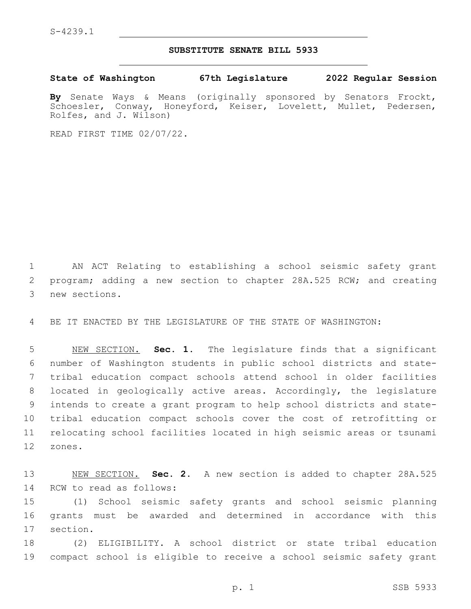S-4239.1

## **SUBSTITUTE SENATE BILL 5933**

**State of Washington 67th Legislature 2022 Regular Session**

**By** Senate Ways & Means (originally sponsored by Senators Frockt, Schoesler, Conway, Honeyford, Keiser, Lovelett, Mullet, Pedersen, Rolfes, and J. Wilson)

READ FIRST TIME 02/07/22.

1 AN ACT Relating to establishing a school seismic safety grant 2 program; adding a new section to chapter 28A.525 RCW; and creating 3 new sections.

4 BE IT ENACTED BY THE LEGISLATURE OF THE STATE OF WASHINGTON:

 NEW SECTION. **Sec. 1.** The legislature finds that a significant number of Washington students in public school districts and state- tribal education compact schools attend school in older facilities located in geologically active areas. Accordingly, the legislature intends to create a grant program to help school districts and state- tribal education compact schools cover the cost of retrofitting or relocating school facilities located in high seismic areas or tsunami 12 zones.

13 NEW SECTION. **Sec. 2.** A new section is added to chapter 28A.525 14 RCW to read as follows:

15 (1) School seismic safety grants and school seismic planning 16 grants must be awarded and determined in accordance with this 17 section.

18 (2) ELIGIBILITY. A school district or state tribal education 19 compact school is eligible to receive a school seismic safety grant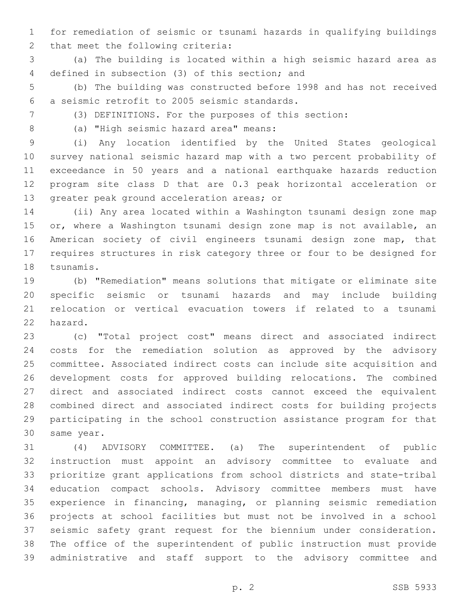for remediation of seismic or tsunami hazards in qualifying buildings 2 that meet the following criteria:

 (a) The building is located within a high seismic hazard area as 4 defined in subsection (3) of this section; and

 (b) The building was constructed before 1998 and has not received a seismic retrofit to 2005 seismic standards.6

(3) DEFINITIONS. For the purposes of this section:

8 (a) "High seismic hazard area" means:

 (i) Any location identified by the United States geological survey national seismic hazard map with a two percent probability of exceedance in 50 years and a national earthquake hazards reduction program site class D that are 0.3 peak horizontal acceleration or 13 greater peak ground acceleration areas; or

 (ii) Any area located within a Washington tsunami design zone map 15 or, where a Washington tsunami design zone map is not available, an American society of civil engineers tsunami design zone map, that requires structures in risk category three or four to be designed for 18 tsunamis.

 (b) "Remediation" means solutions that mitigate or eliminate site specific seismic or tsunami hazards and may include building relocation or vertical evacuation towers if related to a tsunami 22 hazard.

 (c) "Total project cost" means direct and associated indirect costs for the remediation solution as approved by the advisory committee. Associated indirect costs can include site acquisition and development costs for approved building relocations. The combined direct and associated indirect costs cannot exceed the equivalent combined direct and associated indirect costs for building projects participating in the school construction assistance program for that 30 same year.

 (4) ADVISORY COMMITTEE. (a) The superintendent of public instruction must appoint an advisory committee to evaluate and prioritize grant applications from school districts and state-tribal education compact schools. Advisory committee members must have experience in financing, managing, or planning seismic remediation projects at school facilities but must not be involved in a school seismic safety grant request for the biennium under consideration. The office of the superintendent of public instruction must provide administrative and staff support to the advisory committee and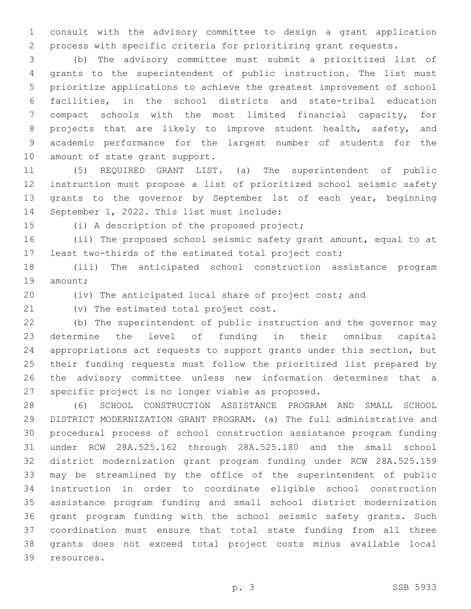consult with the advisory committee to design a grant application process with specific criteria for prioritizing grant requests.

 (b) The advisory committee must submit a prioritized list of grants to the superintendent of public instruction. The list must prioritize applications to achieve the greatest improvement of school facilities, in the school districts and state-tribal education compact schools with the most limited financial capacity, for 8 projects that are likely to improve student health, safety, and academic performance for the largest number of students for the 10 amount of state grant support.

 (5) REQUIRED GRANT LIST. (a) The superintendent of public instruction must propose a list of prioritized school seismic safety grants to the governor by September 1st of each year, beginning 14 September 1, 2022. This list must include:

15 (i) A description of the proposed project;

 (ii) The proposed school seismic safety grant amount, equal to at least two-thirds of the estimated total project cost;

 (iii) The anticipated school construction assistance program 19 amount;

(iv) The anticipated local share of project cost; and

21 (v) The estimated total project cost.

 (b) The superintendent of public instruction and the governor may determine the level of funding in their omnibus capital appropriations act requests to support grants under this section, but their funding requests must follow the prioritized list prepared by the advisory committee unless new information determines that a 27 specific project is no longer viable as proposed.

 (6) SCHOOL CONSTRUCTION ASSISTANCE PROGRAM AND SMALL SCHOOL DISTRICT MODERNIZATION GRANT PROGRAM. (a) The full administrative and procedural process of school construction assistance program funding under RCW 28A.525.162 through 28A.525.180 and the small school district modernization grant program funding under RCW 28A.525.159 may be streamlined by the office of the superintendent of public instruction in order to coordinate eligible school construction assistance program funding and small school district modernization grant program funding with the school seismic safety grants. Such coordination must ensure that total state funding from all three grants does not exceed total project costs minus available local 39 resources.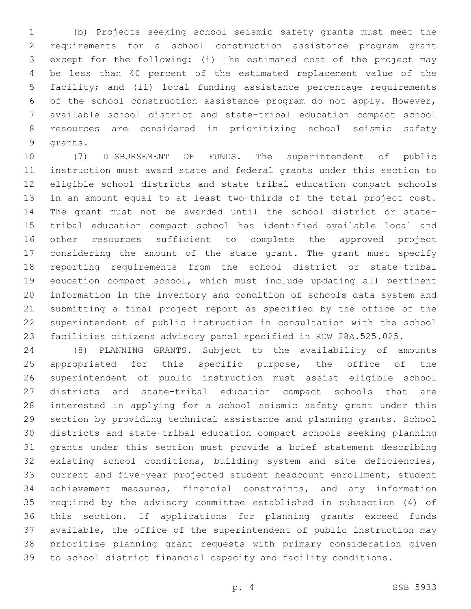(b) Projects seeking school seismic safety grants must meet the requirements for a school construction assistance program grant except for the following: (i) The estimated cost of the project may be less than 40 percent of the estimated replacement value of the facility; and (ii) local funding assistance percentage requirements of the school construction assistance program do not apply. However, available school district and state-tribal education compact school resources are considered in prioritizing school seismic safety 9 qrants.

 (7) DISBURSEMENT OF FUNDS. The superintendent of public instruction must award state and federal grants under this section to eligible school districts and state tribal education compact schools in an amount equal to at least two-thirds of the total project cost. The grant must not be awarded until the school district or state- tribal education compact school has identified available local and other resources sufficient to complete the approved project considering the amount of the state grant. The grant must specify reporting requirements from the school district or state-tribal education compact school, which must include updating all pertinent information in the inventory and condition of schools data system and submitting a final project report as specified by the office of the superintendent of public instruction in consultation with the school facilities citizens advisory panel specified in RCW 28A.525.025.

 (8) PLANNING GRANTS. Subject to the availability of amounts 25 appropriated for this specific purpose, the office of the superintendent of public instruction must assist eligible school districts and state-tribal education compact schools that are interested in applying for a school seismic safety grant under this section by providing technical assistance and planning grants. School districts and state-tribal education compact schools seeking planning grants under this section must provide a brief statement describing existing school conditions, building system and site deficiencies, current and five-year projected student headcount enrollment, student achievement measures, financial constraints, and any information required by the advisory committee established in subsection (4) of this section. If applications for planning grants exceed funds available, the office of the superintendent of public instruction may prioritize planning grant requests with primary consideration given to school district financial capacity and facility conditions.